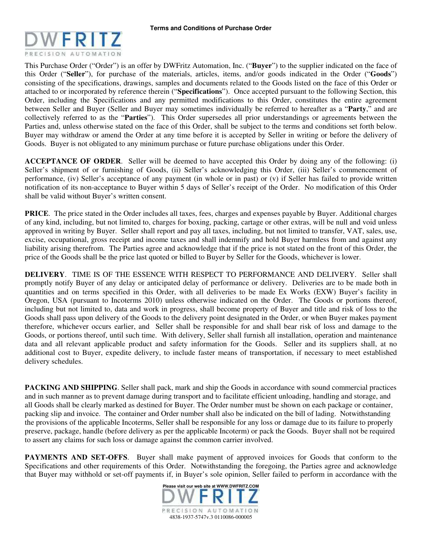

This Purchase Order ("Order") is an offer by DWFritz Automation, Inc. ("**Buyer**") to the supplier indicated on the face of this Order ("**Seller**"), for purchase of the materials, articles, items, and/or goods indicated in the Order ("**Goods**") consisting of the specifications, drawings, samples and documents related to the Goods listed on the face of this Order or attached to or incorporated by reference therein ("**Specifications**"). Once accepted pursuant to the following Section, this Order, including the Specifications and any permitted modifications to this Order, constitutes the entire agreement between Seller and Buyer (Seller and Buyer may sometimes individually be referred to hereafter as a "**Party**," and are collectively referred to as the "**Parties**"). This Order supersedes all prior understandings or agreements between the Parties and, unless otherwise stated on the face of this Order, shall be subject to the terms and conditions set forth below. Buyer may withdraw or amend the Order at any time before it is accepted by Seller in writing or before the delivery of Goods. Buyer is not obligated to any minimum purchase or future purchase obligations under this Order.

**ACCEPTANCE OF ORDER**. Seller will be deemed to have accepted this Order by doing any of the following: (i) Seller's shipment of or furnishing of Goods, (ii) Seller's acknowledging this Order, (iii) Seller's commencement of performance, (iv) Seller's acceptance of any payment (in whole or in past) or (v) if Seller has failed to provide written notification of its non-acceptance to Buyer within 5 days of Seller's receipt of the Order. No modification of this Order shall be valid without Buyer's written consent.

**PRICE**. The price stated in the Order includes all taxes, fees, charges and expenses payable by Buyer. Additional charges of any kind, including, but not limited to, charges for boxing, packing, cartage or other extras, will be null and void unless approved in writing by Buyer. Seller shall report and pay all taxes, including, but not limited to transfer, VAT, sales, use, excise, occupational, gross receipt and income taxes and shall indemnify and hold Buyer harmless from and against any liability arising therefrom. The Parties agree and acknowledge that if the price is not stated on the front of this Order, the price of the Goods shall be the price last quoted or billed to Buyer by Seller for the Goods, whichever is lower.

**DELIVERY**. TIME IS OF THE ESSENCE WITH RESPECT TO PERFORMANCE AND DELIVERY. Seller shall promptly notify Buyer of any delay or anticipated delay of performance or delivery. Deliveries are to be made both in quantities and on terms specified in this Order, with all deliveries to be made Ex Works (EXW) Buyer's facility in Oregon, USA (pursuant to Incoterms 2010) unless otherwise indicated on the Order. The Goods or portions thereof, including but not limited to, data and work in progress, shall become property of Buyer and title and risk of loss to the Goods shall pass upon delivery of the Goods to the delivery point designated in the Order, or when Buyer makes payment therefore, whichever occurs earlier, and Seller shall be responsible for and shall bear risk of loss and damage to the Goods, or portions thereof, until such time. With delivery, Seller shall furnish all installation, operation and maintenance data and all relevant applicable product and safety information for the Goods. Seller and its suppliers shall, at no additional cost to Buyer, expedite delivery, to include faster means of transportation, if necessary to meet established delivery schedules.

**PACKING AND SHIPPING**. Seller shall pack, mark and ship the Goods in accordance with sound commercial practices and in such manner as to prevent damage during transport and to facilitate efficient unloading, handling and storage, and all Goods shall be clearly marked as destined for Buyer. The Order number must be shown on each package or container, packing slip and invoice. The container and Order number shall also be indicated on the bill of lading. Notwithstanding the provisions of the applicable Incoterms, Seller shall be responsible for any loss or damage due to its failure to properly preserve, package, handle (before delivery as per the applicable Incoterm) or pack the Goods. Buyer shall not be required to assert any claims for such loss or damage against the common carrier involved.

**PAYMENTS AND SET-OFFS.** Buyer shall make payment of approved invoices for Goods that conform to the Specifications and other requirements of this Order. Notwithstanding the foregoing, the Parties agree and acknowledge that Buyer may withhold or set-off payments if, in Buyer's sole opinion, Seller failed to perform in accordance with the

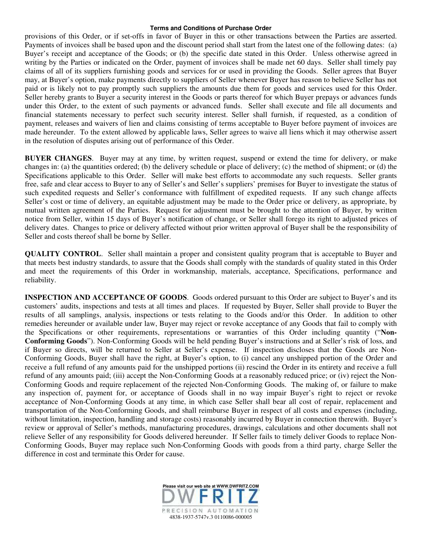provisions of this Order, or if set-offs in favor of Buyer in this or other transactions between the Parties are asserted. Payments of invoices shall be based upon and the discount period shall start from the latest one of the following dates: (a) Buyer's receipt and acceptance of the Goods; or (b) the specific date stated in this Order. Unless otherwise agreed in writing by the Parties or indicated on the Order, payment of invoices shall be made net 60 days. Seller shall timely pay claims of all of its suppliers furnishing goods and services for or used in providing the Goods. Seller agrees that Buyer may, at Buyer's option, make payments directly to suppliers of Seller whenever Buyer has reason to believe Seller has not paid or is likely not to pay promptly such suppliers the amounts due them for goods and services used for this Order. Seller hereby grants to Buyer a security interest in the Goods or parts thereof for which Buyer prepays or advances funds under this Order, to the extent of such payments or advanced funds. Seller shall execute and file all documents and financial statements necessary to perfect such security interest. Seller shall furnish, if requested, as a condition of payment, releases and waivers of lien and claims consisting of terms acceptable to Buyer before payment of invoices are made hereunder. To the extent allowed by applicable laws, Seller agrees to waive all liens which it may otherwise assert in the resolution of disputes arising out of performance of this Order.

**BUYER CHANGES**. Buyer may at any time, by written request, suspend or extend the time for delivery, or make changes in: (a) the quantities ordered; (b) the delivery schedule or place of delivery; (c) the method of shipment; or (d) the Specifications applicable to this Order. Seller will make best efforts to accommodate any such requests. Seller grants free, safe and clear access to Buyer to any of Seller's and Seller's suppliers' premises for Buyer to investigate the status of such expedited requests and Seller's conformance with fulfillment of expedited requests. If any such change affects Seller's cost or time of delivery, an equitable adjustment may be made to the Order price or delivery, as appropriate, by mutual written agreement of the Parties. Request for adjustment must be brought to the attention of Buyer, by written notice from Seller, within 15 days of Buyer's notification of change, or Seller shall forego its right to adjusted prices of delivery dates. Changes to price or delivery affected without prior written approval of Buyer shall be the responsibility of Seller and costs thereof shall be borne by Seller.

**QUALITY CONTROL.** Seller shall maintain a proper and consistent quality program that is acceptable to Buyer and that meets best industry standards, to assure that the Goods shall comply with the standards of quality stated in this Order and meet the requirements of this Order in workmanship, materials, acceptance, Specifications, performance and reliability.

**INSPECTION AND ACCEPTANCE OF GOODS**. Goods ordered pursuant to this Order are subject to Buyer's and its customers' audits, inspections and tests at all times and places. If requested by Buyer, Seller shall provide to Buyer the results of all samplings, analysis, inspections or tests relating to the Goods and/or this Order. In addition to other remedies hereunder or available under law, Buyer may reject or revoke acceptance of any Goods that fail to comply with the Specifications or other requirements, representations or warranties of this Order including quantity ("**Non-Conforming Goods**"). Non-Conforming Goods will be held pending Buyer's instructions and at Seller's risk of loss, and if Buyer so directs, will be returned to Seller at Seller's expense. If inspection discloses that the Goods are Non-Conforming Goods, Buyer shall have the right, at Buyer's option, to (i) cancel any unshipped portion of the Order and receive a full refund of any amounts paid for the unshipped portions (ii) rescind the Order in its entirety and receive a full refund of any amounts paid; (iii) accept the Non-Conforming Goods at a reasonably reduced price; or (iv) reject the Non-Conforming Goods and require replacement of the rejected Non-Conforming Goods. The making of, or failure to make any inspection of, payment for, or acceptance of Goods shall in no way impair Buyer's right to reject or revoke acceptance of Non-Conforming Goods at any time, in which case Seller shall bear all cost of repair, replacement and transportation of the Non-Conforming Goods, and shall reimburse Buyer in respect of all costs and expenses (including, without limitation, inspection, handling and storage costs) reasonably incurred by Buyer in connection therewith. Buyer's review or approval of Seller's methods, manufacturing procedures, drawings, calculations and other documents shall not relieve Seller of any responsibility for Goods delivered hereunder. If Seller fails to timely deliver Goods to replace Non-Conforming Goods, Buyer may replace such Non-Conforming Goods with goods from a third party, charge Seller the difference in cost and terminate this Order for cause.

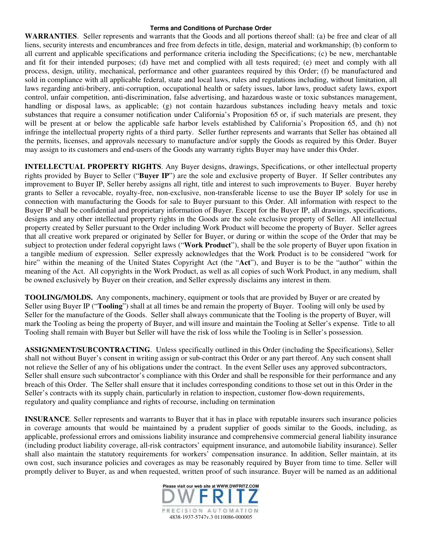**WARRANTIES**. Seller represents and warrants that the Goods and all portions thereof shall: (a) be free and clear of all liens, security interests and encumbrances and free from defects in title, design, material and workmanship; (b) conform to all current and applicable specifications and performance criteria including the Specifications; (c) be new, merchantable and fit for their intended purposes; (d) have met and complied with all tests required; (e) meet and comply with all process, design, utility, mechanical, performance and other guarantees required by this Order; (f) be manufactured and sold in compliance with all applicable federal, state and local laws, rules and regulations including, without limitation, all laws regarding anti-bribery, anti-corruption, occupational health or safety issues, labor laws, product safety laws, export control, unfair competition, anti-discrimination, false advertising, and hazardous waste or toxic substances management, handling or disposal laws, as applicable; (g) not contain hazardous substances including heavy metals and toxic substances that require a consumer notification under California's Proposition 65 or, if such materials are present, they will be present at or below the applicable safe harbor levels established by California's Proposition 65, and (h) not infringe the intellectual property rights of a third party. Seller further represents and warrants that Seller has obtained all the permits, licenses, and approvals necessary to manufacture and/or supply the Goods as required by this Order. Buyer may assign to its customers and end-users of the Goods any warranty rights Buyer may have under this Order.

**INTELLECTUAL PROPERTY RIGHTS**. Any Buyer designs, drawings, Specifications, or other intellectual property rights provided by Buyer to Seller ("**Buyer IP**") are the sole and exclusive property of Buyer. If Seller contributes any improvement to Buyer IP, Seller hereby assigns all right, title and interest to such improvements to Buyer. Buyer hereby grants to Seller a revocable, royalty-free, non-exclusive, non-transferable license to use the Buyer IP solely for use in connection with manufacturing the Goods for sale to Buyer pursuant to this Order. All information with respect to the Buyer IP shall be confidential and proprietary information of Buyer. Except for the Buyer IP, all drawings, specifications, designs and any other intellectual property rights in the Goods are the sole exclusive property of Seller. All intellectual property created by Seller pursuant to the Order including Work Product will become the property of Buyer. Seller agrees that all creative work prepared or originated by Seller for Buyer, or during or within the scope of the Order that may be subject to protection under federal copyright laws ("**Work Product**"), shall be the sole property of Buyer upon fixation in a tangible medium of expression. Seller expressly acknowledges that the Work Product is to be considered "work for hire" within the meaning of the United States Copyright Act (the "**Act**"), and Buyer is to be the "author" within the meaning of the Act. All copyrights in the Work Product, as well as all copies of such Work Product, in any medium, shall be owned exclusively by Buyer on their creation, and Seller expressly disclaims any interest in them.

**TOOLING/MOLDS.** Any components, machinery, equipment or tools that are provided by Buyer or are created by Seller using Buyer IP ("**Tooling**") shall at all times be and remain the property of Buyer. Tooling will only be used by Seller for the manufacture of the Goods. Seller shall always communicate that the Tooling is the property of Buyer, will mark the Tooling as being the property of Buyer, and will insure and maintain the Tooling at Seller's expense. Title to all Tooling shall remain with Buyer but Seller will have the risk of loss while the Tooling is in Seller's possession.

**ASSIGNMENT/SUBCONTRACTING**. Unless specifically outlined in this Order (including the Specifications), Seller shall not without Buyer's consent in writing assign or sub-contract this Order or any part thereof. Any such consent shall not relieve the Seller of any of his obligations under the contract. In the event Seller uses any approved subcontractors, Seller shall ensure such subcontractor's compliance with this Order and shall be responsible for their performance and any breach of this Order. The Seller shall ensure that it includes corresponding conditions to those set out in this Order in the Seller's contracts with its supply chain, particularly in relation to inspection, customer flow-down requirements, regulatory and quality compliance and rights of recourse, including on termination

**INSURANCE**. Seller represents and warrants to Buyer that it has in place with reputable insurers such insurance policies in coverage amounts that would be maintained by a prudent supplier of goods similar to the Goods, including, as applicable, professional errors and omissions liability insurance and comprehensive commercial general liability insurance (including product liability coverage, all-risk contractors' equipment insurance, and automobile liability insurance). Seller shall also maintain the statutory requirements for workers' compensation insurance. In addition, Seller maintain, at its own cost, such insurance policies and coverages as may be reasonably required by Buyer from time to time. Seller will promptly deliver to Buyer, as and when requested, written proof of such insurance. Buyer will be named as an additional

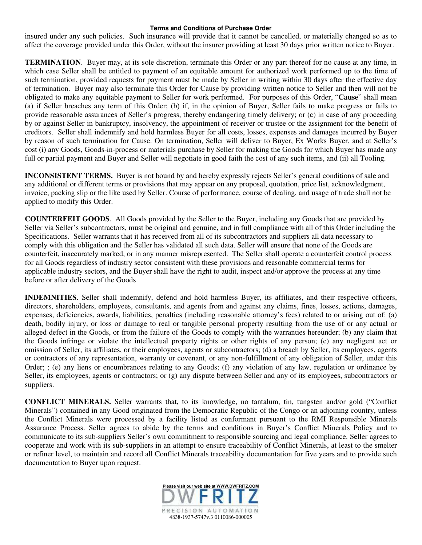insured under any such policies. Such insurance will provide that it cannot be cancelled, or materially changed so as to affect the coverage provided under this Order, without the insurer providing at least 30 days prior written notice to Buyer.

**TERMINATION**. Buyer may, at its sole discretion, terminate this Order or any part thereof for no cause at any time, in which case Seller shall be entitled to payment of an equitable amount for authorized work performed up to the time of such termination, provided requests for payment must be made by Seller in writing within 30 days after the effective day of termination. Buyer may also terminate this Order for Cause by providing written notice to Seller and then will not be obligated to make any equitable payment to Seller for work performed. For purposes of this Order, "**Cause**" shall mean (a) if Seller breaches any term of this Order; (b) if, in the opinion of Buyer, Seller fails to make progress or fails to provide reasonable assurances of Seller's progress, thereby endangering timely delivery; or (c) in case of any proceeding by or against Seller in bankruptcy, insolvency, the appointment of receiver or trustee or the assignment for the benefit of creditors. Seller shall indemnify and hold harmless Buyer for all costs, losses, expenses and damages incurred by Buyer by reason of such termination for Cause. On termination, Seller will deliver to Buyer, Ex Works Buyer, and at Seller's cost (i) any Goods, Goods-in-process or materials purchase by Seller for making the Goods for which Buyer has made any full or partial payment and Buyer and Seller will negotiate in good faith the cost of any such items, and (ii) all Tooling.

**INCONSISTENT TERMS.** Buyer is not bound by and hereby expressly rejects Seller's general conditions of sale and any additional or different terms or provisions that may appear on any proposal, quotation, price list, acknowledgment, invoice, packing slip or the like used by Seller. Course of performance, course of dealing, and usage of trade shall not be applied to modify this Order.

**COUNTERFEIT GOODS**. All Goods provided by the Seller to the Buyer, including any Goods that are provided by Seller via Seller's subcontractors, must be original and genuine, and in full compliance with all of this Order including the Specifications. Seller warrants that it has received from all of its subcontractors and suppliers all data necessary to comply with this obligation and the Seller has validated all such data. Seller will ensure that none of the Goods are counterfeit, inaccurately marked, or in any manner misrepresented. The Seller shall operate a counterfeit control process for all Goods regardless of industry sector consistent with these provisions and reasonable commercial terms for applicable industry sectors, and the Buyer shall have the right to audit, inspect and/or approve the process at any time before or after delivery of the Goods

**INDEMNITIES**. Seller shall indemnify, defend and hold harmless Buyer, its affiliates, and their respective officers, directors, shareholders, employees, consultants, and agents from and against any claims, fines, losses, actions, damages, expenses, deficiencies, awards, liabilities, penalties (including reasonable attorney's fees) related to or arising out of: (a) death, bodily injury, or loss or damage to real or tangible personal property resulting from the use of or any actual or alleged defect in the Goods, or from the failure of the Goods to comply with the warranties hereunder; (b) any claim that the Goods infringe or violate the intellectual property rights or other rights of any person; (c) any negligent act or omission of Seller, its affiliates, or their employees, agents or subcontractors; (d) a breach by Seller, its employees, agents or contractors of any representation, warranty or covenant, or any non-fulfillment of any obligation of Seller, under this Order; ; (e) any liens or encumbrances relating to any Goods; (f) any violation of any law, regulation or ordinance by Seller, its employees, agents or contractors; or (g) any dispute between Seller and any of its employees, subcontractors or suppliers.

**CONFLICT MINERALS.** Seller warrants that, to its knowledge, no tantalum, tin, tungsten and/or gold ("Conflict Minerals") contained in any Good originated from the Democratic Republic of the Congo or an adjoining country, unless the Conflict Minerals were processed by a facility listed as conformant pursuant to the RMI Responsible Minerals Assurance Process. Seller agrees to abide by the terms and conditions in Buyer's Conflict Minerals Policy and to communicate to its sub-suppliers Seller's own commitment to responsible sourcing and legal compliance. Seller agrees to cooperate and work with its sub-suppliers in an attempt to ensure traceability of Conflict Minerals, at least to the smelter or refiner level, to maintain and record all Conflict Minerals traceability documentation for five years and to provide such documentation to Buyer upon request.